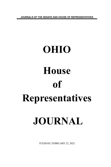**JOURNALS OF THE SENATE AND HOUSE OF REPRESENTATIVES**

# **OHIO House of Representatives JOURNAL**

TUESDAY, FEBRUARY 22, 2022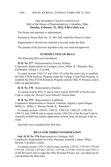# ONE HUNDRED TWENTY-NINTH DAY Hall of the House of Representatives, Columbus, Ohio **Tuesday, February 22, 2022, 9:00 o'clock a.m.**

The House met pursuant to adjournment.

Pursuant to House Rule No. 23, the Clerk called the House to order.

Representative Stewart was selected to preside under the Rule.

The journal of the previous legislative day was read and approved.

## **INTRODUCTION OF BILLS**

The following bills were introduced:

**H. B. No. 577 -** Representatives Fraizer, Holmes. Cosponsors: Representatives Carfagna, Gross, Miller, K., Plummer, Ray, Richardson, Young, T., Loychik.

To enact sections 3365.131 and 3365.132 of the Revised Code to establish the Ohio STEM Gateway Program under the College Credit Plus Program, to establish the Ohio STEM Retention Program and the Ohio IT Promise, and to make an appropriation.

**H. B. No. 578 -** Representative Roemer.

To amend section 4501.21 and to enact section 4503.885 of the Revised Code to create the "Revere Local Schools" license plate.

**H. B. No. 579 -** Representative Lightbody.

Cosponsors: Representatives Denson, Galonski, Ingram, Lepore-Hagan, Miller, A., Miller, J., Sheehy, Smith, K., Weinstein.

To amend sections 1509.03, 1509.22, 1509.222, 1509.223, 1509.224, 1509.33, and 1509.99 and to repeal section 1509.226 of the Revised Code to expressly prohibit the surface application of brine from oil and gas wells on roads.

Said bills were considered the first time.

# **BILLS FOR THIRD CONSIDERATION**

**Sub. H. B. No. 376**-Representatives Carfagna, Hall. Cosponsors: Representatives Click, Plummer, Schmidt, Lanese, White, Stewart, Carruthers, Ginter.

To amend section 1345.51 and to enact sections 1355.01, 1355.02, 1355.03, 1355.04, 1355.05, 1355.06, 1355.07, 1355.08, 1355.09, 1355.10, and 1355.11 of the Revised Code to enact the Ohio Personal Privacy Act, was taken up for consideration the third time.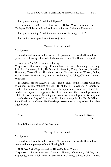The question being, "Shall the bill pass?"

Representative LaRe moved that **Sub. H. B. No. 376**-Representatives Carfagna, Hall, be re-referred to the committee on Rules and Reference.

The question being, "Shall the motion to re-refer be agreed to?"

The motion was agreed to without objection.

Message from the Senate

Mr. Speaker:

I am directed to inform the House of Representatives that the Senate has passed the following bill in which the concurrence of the House is requested:

### **Sub. S. B. No. 225** - Senator Schuring

Cosponsors: Senators Lang, Romanchuk, Brenner, Manning, Blessing, Reineke, Gavarone, Rulli, Huffman, S., Antonio, Craig, Peterson, Schaffer, Hottinger, Yuko, Cirino, Hoagland, Antani, Hackett, Kunze, Wilson, Fedor, Dolan, Sykes, Huffman, M., Johnson, Maharath, McColley, O'Brien, Thomas, Williams

To amend sections 122.84, 149.311, and 5701.11 of the Revised Code and to amend Section 803.210 of H.B. 110 of the 134th General Assembly to modify the historic rehabilitation and the opportunity zone investment tax credits, to adjust the applicability of certain recently enacted provisions related to tax increment financing and downtown redevelopment districts, and to authorize the City of Canton to distribute moneys in the Hartford-Houtz Poor Fund to the Canton Ex-Newsboys Association or any other charitable organization.

Attest: Vincent L. Keeran, Clerk.

Said bill was considered the first time.

Message from the Senate

Mr. Speaker:

I am directed to inform the House of Representatives that the Senate has concurred in the passage of the following bill:

**H. B. No. 238** - Representatives Hicks-Hudson, Crawley Cosponsors: Representatives Ingram, Hoops, Crossman, Miller, A., Lightbody, Brent, Kick, West, Russo, Howse, Sheehy, White, Kelly, Lanese,